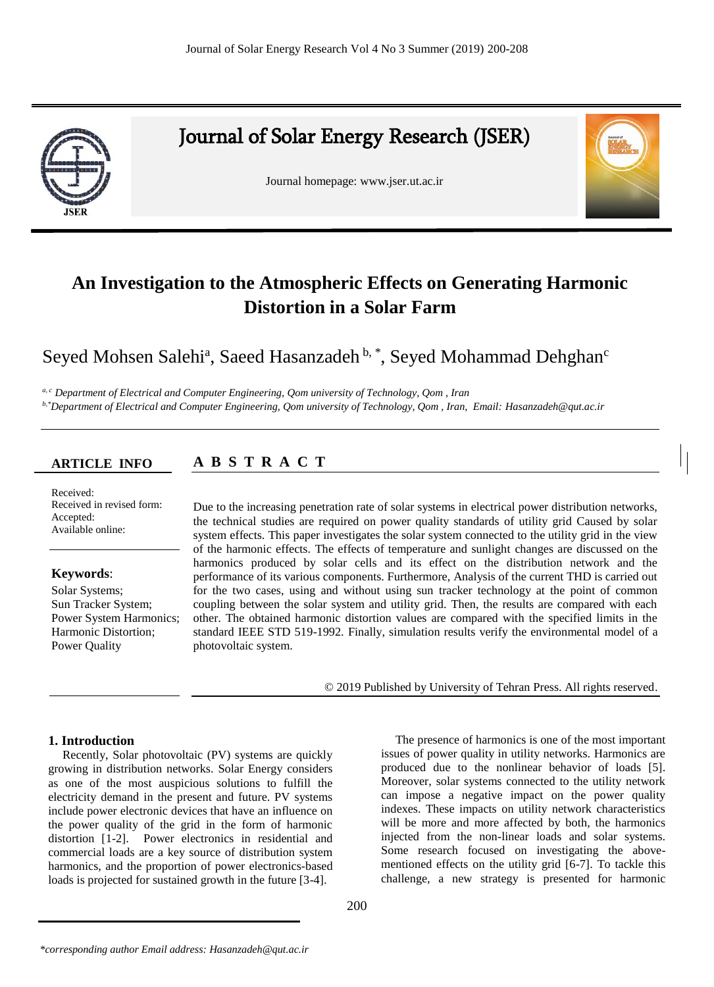

# Journal of Solar Energy Research (JSER)

Journal homepage: www.jser.ut.ac.ir



# **Colician Harmoric Atmospheric Effects on Generating Harmonic 4.1 Investigation to the Atmospheric Effects on Generating Harmonic Distortion in a Solar Farm**

# Seyed Mohsen Salehi<sup>a</sup>, Saeed Hasanzadeh <sup>b, \*</sup>, Seyed Mohammad Dehghan<sup>c</sup>

<sup>a, c</sup> Department of Electrical and Computer Engineering, Qom university of Technology, Qom , Iran *b,\*Department of Electrical and Computer Engineering, Qom university of Technology, Qom , Iran, Email: Hasanzadeh@qut.ac.ir*

**A B S T R A C T A B S T R A C T**

## **ARTICLE INFO ARTICLE INFO** Received:

Received: Received Received in revised form: Accepted: Available online:

# **Keywords**: Keywords:

Solar Systems; Sun Tracker System; Bun Tracker Bystem,<br>Power System Harmonics; Harmonic Distortion; Power Quality

Click here and insert your abstract text. Click here and insert your abstract text. Click here and Due to the increasing penetration rate of solar systems in electrical power distribution networks, the technical studies are required on power quality standards of utility grid Caused by solar system effects. This paper investigates the solar system connected to the utility grid in the view of the harmonic effects. The effects of temperature and sunlight changes are discussed on the harmonics produced by solar cells and its effect on the distribution network and the performance of its various components. Furthermore, Analysis of the current THD is carried out for the two cases, using and without using sun tracker technology at the point of common coupling between the solar system and utility grid. Then, the results are compared with each other. The obtained harmonic distortion values are compared with the specified limits in the standard IEEE STD 519-1992. Finally, simulation results verify the environmental model of a photovoltaic system.

© 2013Published by University of Tehran Press. All rights reserved. © 2019 Published by University of Tehran Press. All rights reserved.

## **1. Introduction**

Recently, Solar photovoltaic (PV) systems are quickly growing in distribution networks. Solar Energy considers as one of the most auspicious solutions to fulfill the electricity demand in the present and future. PV systems include power electronic devices that have an influence on the power quality of the grid in the form of harmonic distortion [1-2]. Power electronics in residential and commercial loads are a key source of distribution system harmonics, and the proportion of power electronics-based loads is projected for sustained growth in the future [3-4].

The presence of harmonics is one of the most important issues of power quality in utility networks. Harmonics are produced due to the nonlinear behavior of loads [5]. Moreover, solar systems connected to the utility network can impose a negative impact on the power quality indexes. These impacts on utility network characteristics will be more and more affected by both, the harmonics injected from the non-linear loads and solar systems. Some research focused on investigating the abovementioned effects on the utility grid [6-7]. To tackle this challenge, a new strategy is presented for harmonic

*<sup>\*</sup>corresponding author Email address: Hasanzadeh@qut.ac.ir*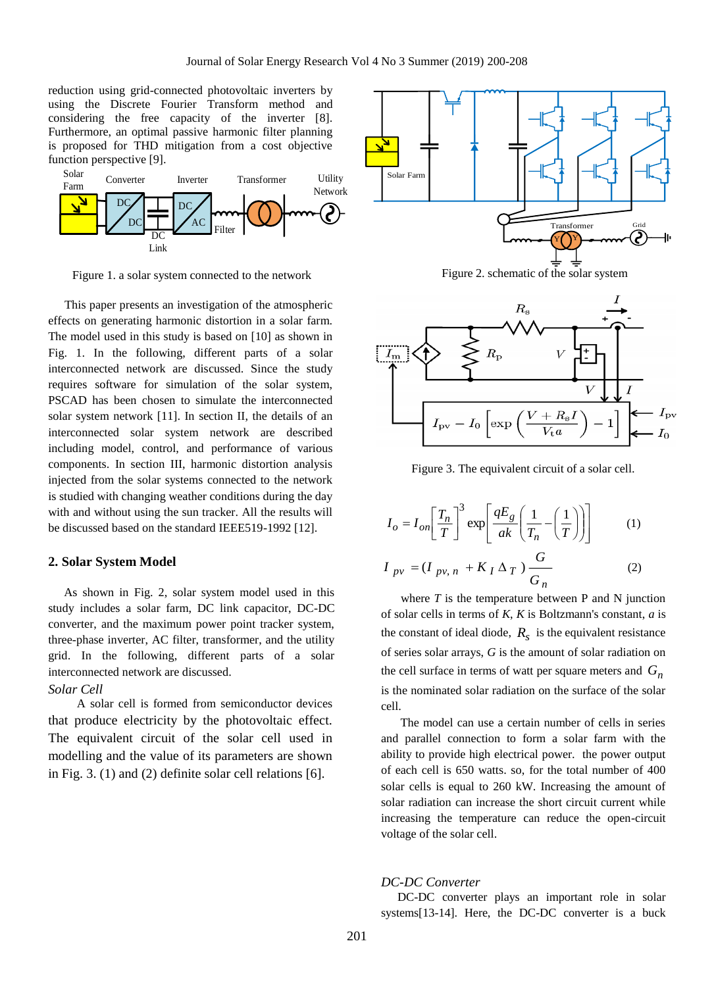reduction using grid-connected photovoltaic inverters by using the Discrete Fourier Transform method and considering the free capacity of the inverter [8]. Furthermore, an optimal passive harmonic filter planning is proposed for THD mitigation from a cost objective function perspective [9].



Figure 1. a solar system connected to the network

This paper presents an investigation of the atmospheric effects on generating harmonic distortion in a solar farm. The model used in this study is based on [10] as shown in Fig. 1. In the following, different parts of a solar interconnected network are discussed. Since the study requires software for simulation of the solar system, PSCAD has been chosen to simulate the interconnected solar system network [11]. In section II, the details of an interconnected solar system network are described including model, control, and performance of various components. In section III, harmonic distortion analysis injected from the solar systems connected to the network is studied with changing weather conditions during the day with and without using the sun tracker. All the results will be discussed based on the standard IEEE519-1992 [12].

#### **2. Solar System Model**

As shown in Fig. 2, solar system model used in this study includes a solar farm, DC link capacitor, DC-DC converter, and the maximum power point tracker system, three-phase inverter, AC filter, transformer, and the utility grid. In the following, different parts of a solar interconnected network are discussed.

#### *Solar Cell*

 A solar cell is formed from semiconductor devices that produce electricity by the photovoltaic effect. The equivalent circuit of the solar cell used in modelling and the value of its parameters are shown in Fig. 3. (1) and (2) definite solar cell relations [6].







Figure 3. The equivalent circuit of a solar cell.

$$
I_o = I_{on} \left[ \frac{T_n}{T} \right]^3 \exp \left[ \frac{qE_g}{ak} \left( \frac{1}{T_n} - \left( \frac{1}{T} \right) \right) \right]
$$
 (1)

$$
I_{pv} = (I_{pv, n} + K_I \Delta_T) \frac{G}{G_n}
$$
 (2)

where  $T$  is the temperature between  $P$  and  $N$  junction of solar cells in terms of *K*, *K* is Boltzmann's constant, *a* is the constant of ideal diode,  $R<sub>s</sub>$  is the equivalent resistance of series solar arrays, *G* is the amount of solar radiation on the cell surface in terms of watt per square meters and *Gn* is the nominated solar radiation on the surface of the solar cell.

The model can use a certain number of cells in series and parallel connection to form a solar farm with the ability to provide high electrical power. the power output of each cell is 650 watts. so, for the total number of 400 solar cells is equal to 260 kW. Increasing the amount of solar radiation can increase the short circuit current while increasing the temperature can reduce the open-circuit voltage of the solar cell.

#### *DC-DC Converter*

DC-DC converter plays an important role in solar systems[13-14]. Here, the DC-DC converter is a buck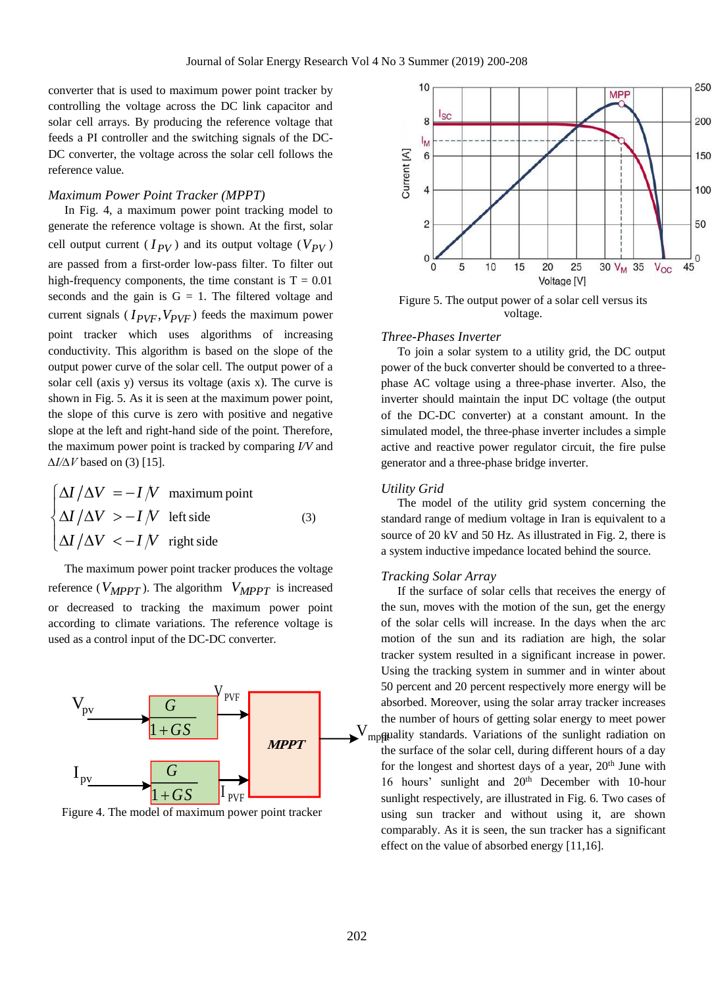converter that is used to maximum power point tracker by controlling the voltage across the DC link capacitor and solar cell arrays. By producing the reference voltage that feeds a PI controller and the switching signals of the DC-DC converter, the voltage across the solar cell follows the reference value.

#### *Maximum Power Point Tracker (MPPT)*

In Fig. 4, a maximum power point tracking model to generate the reference voltage is shown. At the first, solar cell output current  $(I_{PV})$  and its output voltage  $(V_{PV})$ are passed from a first-order low-pass filter. To filter out high-frequency components, the time constant is  $T = 0.01$ seconds and the gain is  $G = 1$ . The filtered voltage and current signals  $(I_{PVF}, V_{PVF})$  feeds the maximum power point tracker which uses algorithms of increasing conductivity. This algorithm is based on the slope of the output power curve of the solar cell. The output power of a solar cell (axis y) versus its voltage (axis x). The curve is shown in Fig. 5. As it is seen at the maximum power point, the slope of this curve is zero with positive and negative slope at the left and right-hand side of the point. Therefore, the maximum power point is tracked by comparing *I/V* and *∆I/∆V* based on (3) [15].

$$
\begin{cases}\n\Delta I / \Delta V = -I/V & \text{maximum point} \\
\Delta I / \Delta V > -I/V & \text{left side} \\
\Delta I / \Delta V < -I/V & \text{right side}\n\end{cases} \tag{3}
$$

The maximum power point tracker produces the voltage reference ( $V_{MPPT}$ ). The algorithm  $V_{MPPT}$  is increased or decreased to tracking the maximum power point according to climate variations. The reference voltage is used as a control input of the DC-DC converter.



Figure 4. The model of maximum power point tracker



Figure 5. The output power of a solar cell versus its voltage.

#### *Three-Phases Inverter*

To join a solar system to a utility grid, the DC output power of the buck converter should be converted to a threephase AC voltage using a three-phase inverter. Also, the inverter should maintain the input DC voltage (the output of the DC-DC converter) at a constant amount. In the simulated model, the three-phase inverter includes a simple active and reactive power regulator circuit, the fire pulse generator and a three-phase bridge inverter.

## *Utility Grid*

The model of the utility grid system concerning the standard range of medium voltage in Iran is equivalent to a source of 20 kV and 50 Hz. As illustrated in Fig. 2, there is a system inductive impedance located behind the source.

#### *Tracking Solar Array*

 $V_{mp\#}$  puality standards. Variations of the sunlight radiation on PVF Sunlight respectively, are illustrated in Fig. 6. Two cases of If the surface of solar cells that receives the energy of the sun, moves with the motion of the sun, get the energy of the solar cells will increase. In the days when the arc motion of the sun and its radiation are high, the solar tracker system resulted in a significant increase in power. Using the tracking system in summer and in winter about 50 percent and 20 percent respectively more energy will be absorbed. Moreover, using the solar array tracker increases the number of hours of getting solar energy to meet power the surface of the solar cell, during different hours of a day for the longest and shortest days of a year,  $20<sup>th</sup>$  June with 16 hours' sunlight and 20<sup>th</sup> December with 10-hour using sun tracker and without using it, are shown comparably. As it is seen, the sun tracker has a significant effect on the value of absorbed energy [11,16].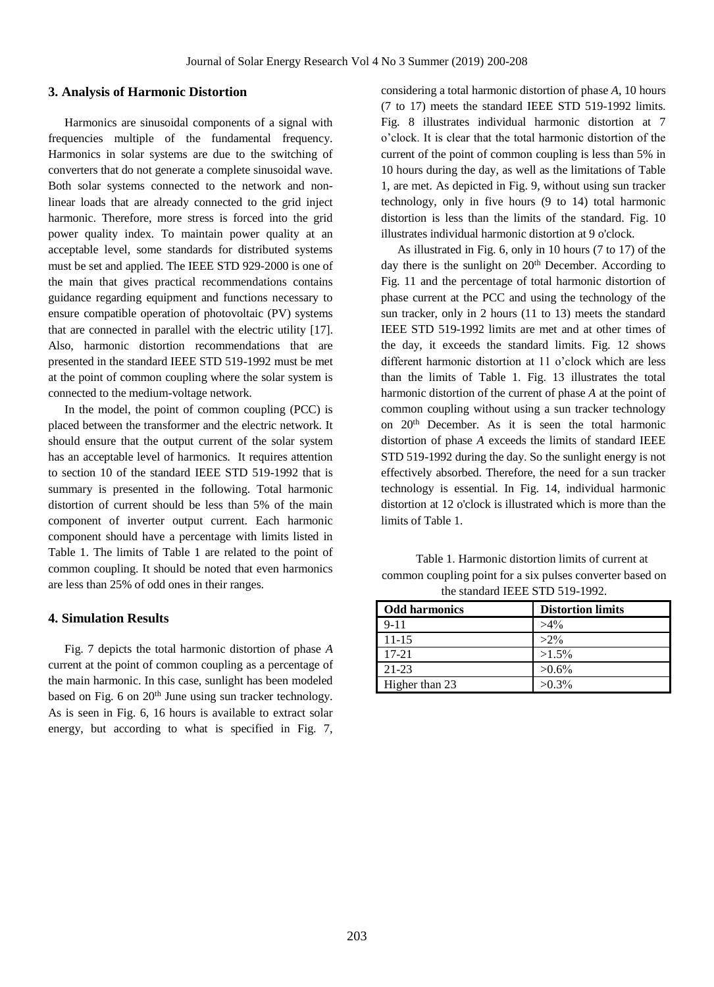#### **3. Analysis of Harmonic Distortion**

Harmonics are sinusoidal components of a signal with frequencies multiple of the fundamental frequency. Harmonics in solar systems are due to the switching of converters that do not generate a complete sinusoidal wave. Both solar systems connected to the network and nonlinear loads that are already connected to the grid inject harmonic. Therefore, more stress is forced into the grid power quality index. To maintain power quality at an acceptable level, some standards for distributed systems must be set and applied. The IEEE STD 929-2000 is one of the main that gives practical recommendations contains guidance regarding equipment and functions necessary to ensure compatible operation of photovoltaic (PV) systems that are connected in parallel with the electric utility [17]. Also, harmonic distortion recommendations that are presented in the standard IEEE STD 519-1992 must be met at the point of common coupling where the solar system is connected to the medium-voltage network.

In the model, the point of common coupling (PCC) is placed between the transformer and the electric network. It should ensure that the output current of the solar system has an acceptable level of harmonics. It requires attention to section 10 of the standard IEEE STD 519-1992 that is summary is presented in the following. Total harmonic distortion of current should be less than 5% of the main component of inverter output current. Each harmonic component should have a percentage with limits listed in Table 1. The limits of Table 1 are related to the point of common coupling. It should be noted that even harmonics are less than 25% of odd ones in their ranges.

#### **4. Simulation Results**

Fig. 7 depicts the total harmonic distortion of phase *A* current at the point of common coupling as a percentage of the main harmonic. In this case, sunlight has been modeled based on Fig. 6 on 20<sup>th</sup> June using sun tracker technology. As is seen in Fig. 6, 16 hours is available to extract solar energy, but according to what is specified in Fig. 7,

considering a total harmonic distortion of phase *A*, 10 hours (7 to 17) meets the standard IEEE STD 519-1992 limits. Fig. 8 illustrates individual harmonic distortion at 7 o'clock. It is clear that the total harmonic distortion of the current of the point of common coupling is less than 5% in 10 hours during the day, as well as the limitations of Table 1, are met. As depicted in Fig. 9, without using sun tracker technology, only in five hours (9 to 14) total harmonic distortion is less than the limits of the standard. Fig. 10 illustrates individual harmonic distortion at 9 o'clock.

As illustrated in Fig. 6, only in 10 hours (7 to 17) of the day there is the sunlight on 20<sup>th</sup> December. According to Fig. 11 and the percentage of total harmonic distortion of phase current at the PCC and using the technology of the sun tracker, only in 2 hours (11 to 13) meets the standard IEEE STD 519-1992 limits are met and at other times of the day, it exceeds the standard limits. Fig. 12 shows different harmonic distortion at 11 o'clock which are less than the limits of Table 1. Fig. 13 illustrates the total harmonic distortion of the current of phase *A* at the point of common coupling without using a sun tracker technology on 20th December. As it is seen the total harmonic distortion of phase *A* exceeds the limits of standard IEEE STD 519-1992 during the day. So the sunlight energy is not effectively absorbed. Therefore, the need for a sun tracker technology is essential. In Fig. 14, individual harmonic distortion at 12 o'clock is illustrated which is more than the limits of Table 1.

| Table 1. Harmonic distortion limits of current at         |
|-----------------------------------------------------------|
| common coupling point for a six pulses converter based on |
| the standard IEEE STD 519-1992.                           |

| <b>Odd harmonics</b> | <b>Distortion limits</b> |
|----------------------|--------------------------|
| $9 - 11$             | $>4\%$                   |
| $11-15$              | $>2\%$                   |
| 17-21                | $>1.5\%$                 |
| 21-23                | $>0.6\%$                 |
| Higher than 23       | $>0.3\%$                 |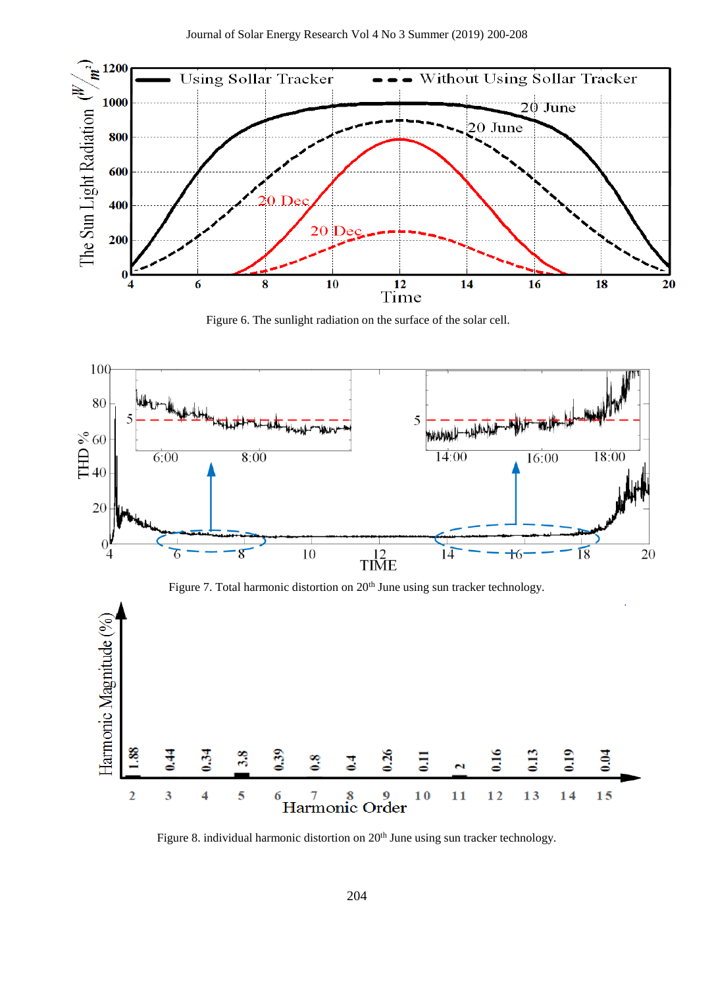

Figure 6. The sunlight radiation on the surface of the solar cell.



Figure 8. individual harmonic distortion on 20<sup>th</sup> June using sun tracker technology.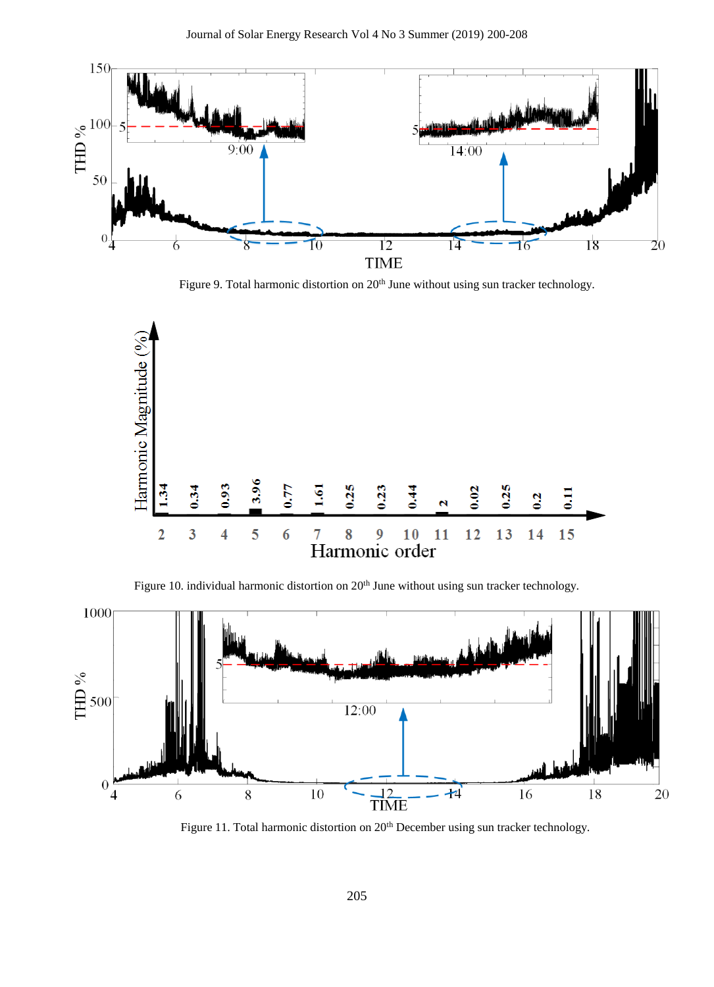

Figure 9. Total harmonic distortion on 20<sup>th</sup> June without using sun tracker technology.



Figure 10. individual harmonic distortion on 20<sup>th</sup> June without using sun tracker technology.



Figure 11. Total harmonic distortion on 20<sup>th</sup> December using sun tracker technology.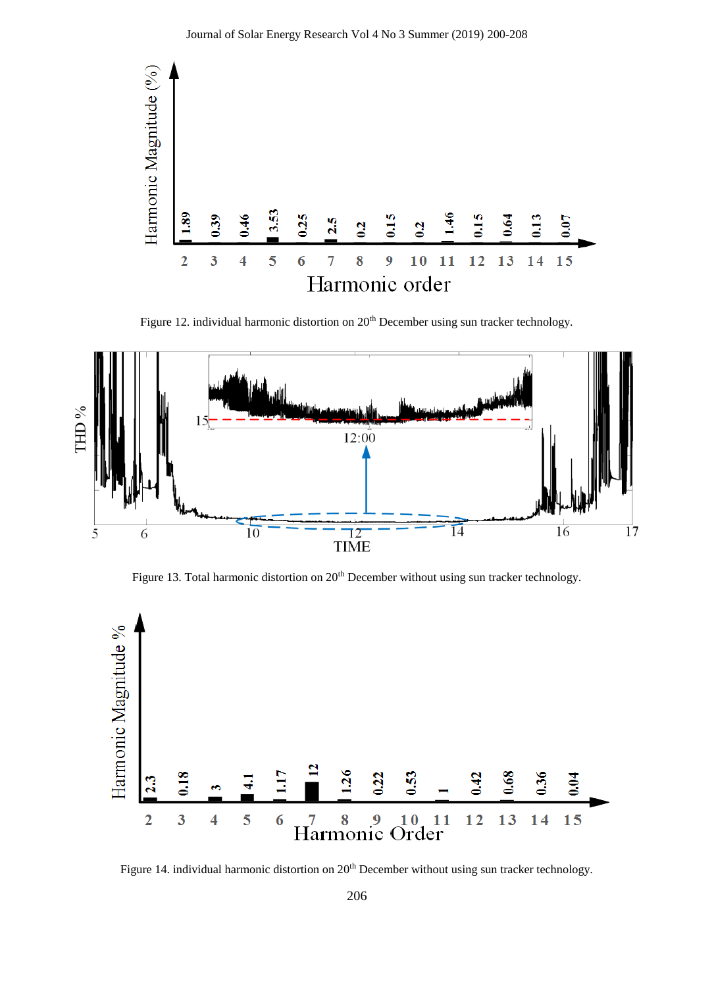

Figure 12. individual harmonic distortion on 20<sup>th</sup> December using sun tracker technology.



Figure 13. Total harmonic distortion on 20<sup>th</sup> December without using sun tracker technology.



Figure 14. individual harmonic distortion on 20<sup>th</sup> December without using sun tracker technology.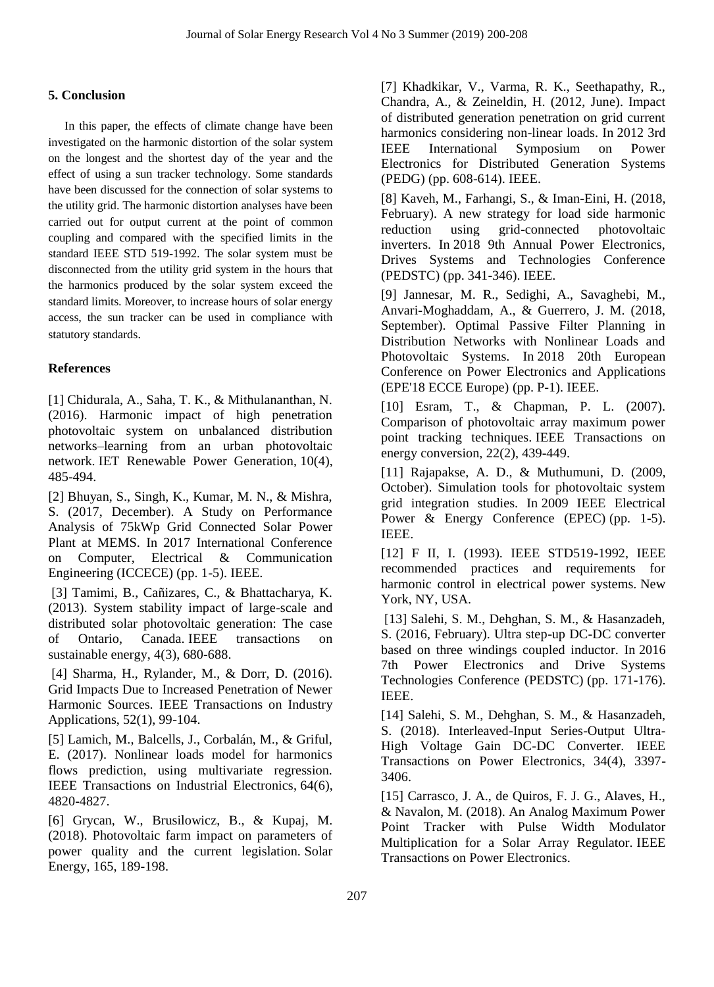# **5. Conclusion**

In this paper, the effects of climate change have been investigated on the harmonic distortion of the solar system on the longest and the shortest day of the year and the effect of using a sun tracker technology. Some standards have been discussed for the connection of solar systems to the utility grid. The harmonic distortion analyses have been carried out for output current at the point of common coupling and compared with the specified limits in the standard IEEE STD 519-1992. The solar system must be disconnected from the utility grid system in the hours that the harmonics produced by the solar system exceed the standard limits. Moreover, to increase hours of solar energy access, the sun tracker can be used in compliance with statutory standards.

# **References**

[1] Chidurala, A., Saha, T. K., & Mithulananthan, N. (2016). Harmonic impact of high penetration photovoltaic system on unbalanced distribution networks–learning from an urban photovoltaic network. IET Renewable Power Generation, 10(4), 485-494.

[2] Bhuyan, S., Singh, K., Kumar, M. N., & Mishra, S. (2017, December). A Study on Performance Analysis of 75kWp Grid Connected Solar Power Plant at MEMS. In 2017 International Conference on Computer, Electrical & Communication Engineering (ICCECE) (pp. 1-5). IEEE.

[3] Tamimi, B., Cañizares, C., & Bhattacharya, K. (2013). System stability impact of large-scale and distributed solar photovoltaic generation: The case of Ontario, Canada. IEEE transactions on sustainable energy, 4(3), 680-688.

[4] Sharma, H., Rylander, M., & Dorr, D. (2016). Grid Impacts Due to Increased Penetration of Newer Harmonic Sources. IEEE Transactions on Industry Applications, 52(1), 99-104.

[5] Lamich, M., Balcells, J., Corbalán, M., & Griful, E. (2017). Nonlinear loads model for harmonics flows prediction, using multivariate regression. IEEE Transactions on Industrial Electronics, 64(6), 4820-4827.

[6] Grycan, W., Brusilowicz, B., & Kupaj, M. (2018). Photovoltaic farm impact on parameters of power quality and the current legislation. Solar Energy, 165, 189-198.

[7] Khadkikar, V., Varma, R. K., Seethapathy, R., Chandra, A., & Zeineldin, H. (2012, June). Impact of distributed generation penetration on grid current harmonics considering non-linear loads. In 2012 3rd IEEE International Symposium on Power Electronics for Distributed Generation Systems (PEDG) (pp. 608-614). IEEE.

[8] Kaveh, M., Farhangi, S., & Iman-Eini, H. (2018, February). A new strategy for load side harmonic reduction using grid-connected photovoltaic inverters. In 2018 9th Annual Power Electronics, Drives Systems and Technologies Conference (PEDSTC) (pp. 341-346). IEEE.

[9] Jannesar, M. R., Sedighi, A., Savaghebi, M., Anvari-Moghaddam, A., & Guerrero, J. M. (2018, September). Optimal Passive Filter Planning in Distribution Networks with Nonlinear Loads and Photovoltaic Systems. In 2018 20th European Conference on Power Electronics and Applications (EPE'18 ECCE Europe) (pp. P-1). IEEE.

[10] Esram, T., & Chapman, P. L. (2007). Comparison of photovoltaic array maximum power point tracking techniques. IEEE Transactions on energy conversion, 22(2), 439-449.

[11] Rajapakse, A. D., & Muthumuni, D. (2009, October). Simulation tools for photovoltaic system grid integration studies. In 2009 IEEE Electrical Power & Energy Conference (EPEC) (pp. 1-5). IEEE.

[12] F II, I. (1993). IEEE STD519-1992, IEEE recommended practices and requirements for harmonic control in electrical power systems. New York, NY, USA.

[13] Salehi, S. M., Dehghan, S. M., & Hasanzadeh, S. (2016, February). Ultra step-up DC-DC converter based on three windings coupled inductor. In 2016 7th Power Electronics and Drive Systems Technologies Conference (PEDSTC) (pp. 171-176). IEEE.

[14] Salehi, S. M., Dehghan, S. M., & Hasanzadeh, S. (2018). Interleaved-Input Series-Output Ultra-High Voltage Gain DC-DC Converter. IEEE Transactions on Power Electronics, 34(4), 3397- 3406.

[15] Carrasco, J. A., de Quiros, F. J. G., Alaves, H., & Navalon, M. (2018). An Analog Maximum Power Point Tracker with Pulse Width Modulator Multiplication for a Solar Array Regulator. IEEE Transactions on Power Electronics.